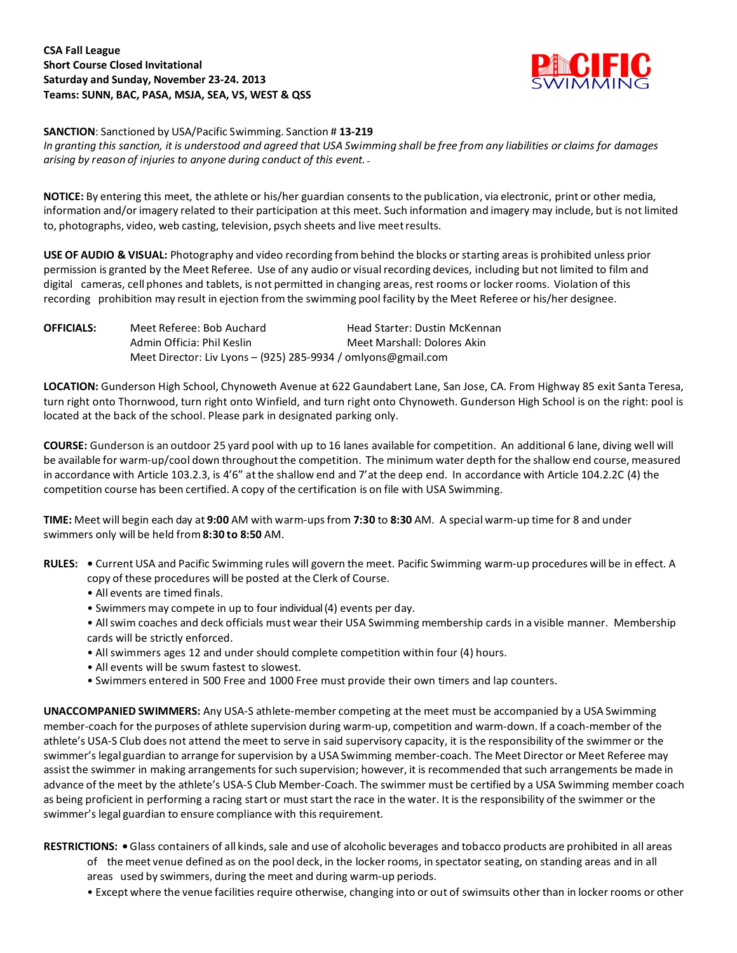## **CSA Fall League Short Course Closed Invitational Saturday and Sunday, November 23-24. 2013 Teams: SUNN, BAC, PASA, MSJA, SEA, VS, WEST & QSS**



**SANCTION**: Sanctioned by USA/Pacific Swimming. Sanction # **13-219**

In granting this sanction, it is understood and agreed that USA Swimming shall be free from any liabilities or claims for damages *arising by reason of injuries to anyone during conduct of this event.*

**NOTICE:** By entering this meet, the athlete or his/her guardian consents to the publication, via electronic, print or other media, information and/or imagery related to their participation at this meet. Such information and imagery may include, but is not limited to, photographs, video, web casting, television, psych sheets and live meetresults.

**USE OF AUDIO & VISUAL:** Photography and video recording from behind the blocks orstarting areas is prohibited unless prior permission is granted by the Meet Referee. Use of any audio or visualrecording devices, including but not limited to film and digital cameras, cell phones and tablets, is not permitted in changing areas, rest rooms or locker rooms. Violation of this recording prohibition may result in ejection from the swimming pool facility by the Meet Referee or his/her designee.

| <b>OFFICIALS:</b> | Meet Referee: Bob Auchard                                     | Head Starter: Dustin McKennan |  |
|-------------------|---------------------------------------------------------------|-------------------------------|--|
|                   | Admin Officia: Phil Keslin                                    | Meet Marshall: Dolores Akin   |  |
|                   | Meet Director: Liv Lyons – (925) 285-9934 / omlyons@gmail.com |                               |  |

**LOCATION:** Gunderson High School, Chynoweth Avenue at 622 Gaundabert Lane, San Jose, CA. From Highway 85 exit Santa Teresa, turn right onto Thornwood, turn right onto Winfield, and turn right onto Chynoweth. Gunderson High School is on the right: pool is located at the back of the school. Please park in designated parking only.

**COURSE:** Gunderson is an outdoor 25 yard pool with up to 16 lanes available for competition. An additional 6 lane, diving well will be available for warm-up/cool down throughout the competition. The minimum water depth for the shallow end course, measured in accordance with Article 103.2.3, is 4'6" atthe shallow end and 7'at the deep end. In accordance with Article 104.2.2C (4) the competition course has been certified. A copy of the certification is on file with USA Swimming.

**TIME:** Meet will begin each day at **9:00** AM with warm-upsfrom **7:30** to **8:30** AM. A special warm-up time for 8 and under swimmers only will be held from **8:30 to 8:50** AM.

- **RULES: •** Current USA and Pacific Swimming rules will govern the meet. Pacific Swimming warm-up procedures will be in effect. A copy of these procedures will be posted at the Clerk of Course.
	- All events are timed finals.
	- Swimmers may compete in up to four individual (4) events per day.
	- Allswim coaches and deck officials must wear their USA Swimming membership cards in a visible manner. Membership cards will be strictly enforced.
	- All swimmers ages 12 and under should complete competition within four (4) hours.
	- All events will be swum fastest to slowest.
	- Swimmers entered in 500 Free and 1000 Free must provide their own timers and lap counters.

**UNACCOMPANIED SWIMMERS:** Any USA-S athlete-member competing at the meet must be accompanied by a USA Swimming member-coach for the purposes of athlete supervision during warm-up, competition and warm-down. If a coach-member of the athlete's USA-S Club does not attend the meet to serve in said supervisory capacity, it is the responsibility of the swimmer or the swimmer's legal guardian to arrange forsupervision by a USA Swimming member-coach. The Meet Director or Meet Referee may assist the swimmer in making arrangements for such supervision; however, it is recommended that such arrangements be made in advance of the meet by the athlete's USA-S Club Member-Coach. The swimmer must be certified by a USA Swimming member coach as being proficient in performing a racing start or must start the race in the water. It is the responsibility of the swimmer or the swimmer's legal guardian to ensure compliance with this requirement.

RESTRICTIONS: . Glass containers of all kinds, sale and use of alcoholic beverages and tobacco products are prohibited in all areas

- of the meet venue defined as on the pool deck, in the locker rooms, in spectatorseating, on standing areas and in all areas used by swimmers, during the meet and during warm-up periods.
- Except where the venue facilities require otherwise, changing into or out of swimsuits other than in locker rooms or other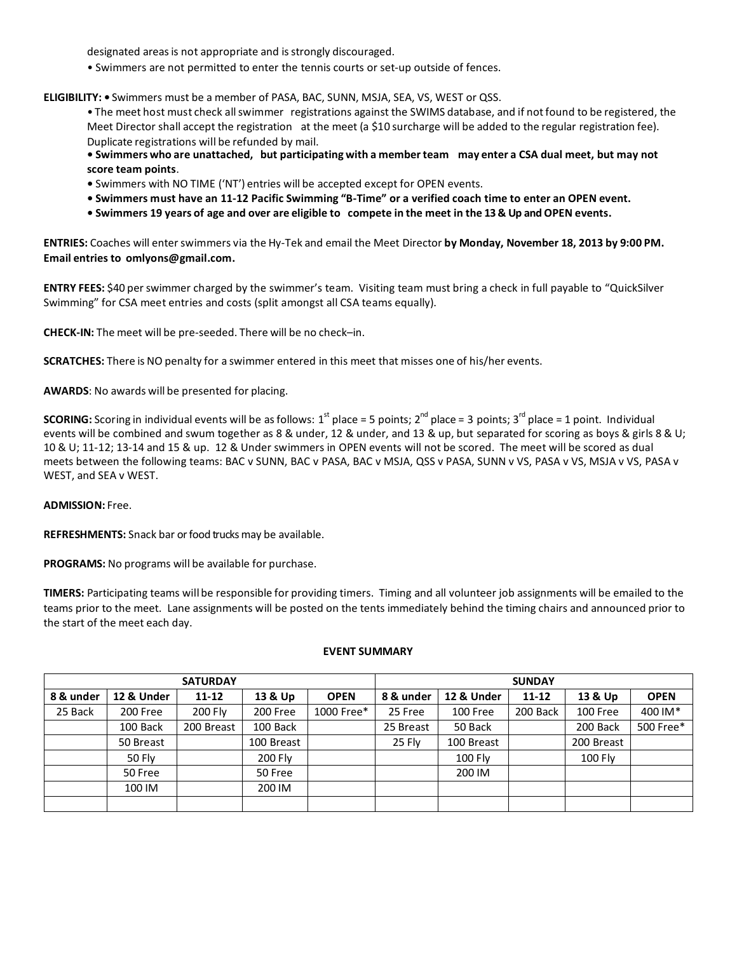designated areas is not appropriate and is strongly discouraged.

• Swimmers are not permitted to enter the tennis courts or set-up outside of fences.

**ELIGIBILITY: •** Swimmers must be a member of PASA, BAC, SUNN, MSJA, SEA, VS, WEST or QSS.

• The meet host must check allswimmer registrations against the SWIMS database, and if notfound to be registered, the Meet Director shall accept the registration at the meet (a \$10 surcharge will be added to the regular registration fee). Duplicate registrations will be refunded by mail.

**• Swimmers who are unattached, but participating with a member team may enter a CSA dual meet, but may not score team points**.

- **•** Swimmers with NO TIME ('NT') entries will be accepted except for OPEN events.
- **• Swimmers must have an 11-12 Pacific Swimming "B-Time" or a verified coach time to enter an OPEN event.**
- **• Swimmers 19 years of age and over are eligible to compete in the meet in the 13 & Up and OPEN events.**

**ENTRIES:** Coaches will enterswimmers via the Hy-Tek and email the Meet Director **by Monday, November 18, 2013 by 9:00 PM. Email entries to omlyons@gmail.com.**

**ENTRY FEES:** \$40 perswimmer charged by the swimmer's team. Visiting team must bring a check in full payable to "QuickSilver Swimming" for CSA meet entries and costs (split amongst all CSA teams equally).

**CHECK-IN:** The meet will be pre-seeded. There will be no check–in.

**SCRATCHES:** There is NO penalty for a swimmer entered in this meet that misses one of his/her events.

**AWARDS**: No awards will be presented for placing.

**SCORING:** Scoring in individual events will be as follows: 1<sup>st</sup> place = 5 points; 2<sup>nd</sup> place = 3 points; 3<sup>rd</sup> place = 1 point. Individual events will be combined and swum together as 8 & under, 12 & under, and 13 & up, but separated for scoring as boys & girls 8 & U; 10 & U; 11-12; 13-14 and 15 & up. 12 & Under swimmers in OPEN events will not be scored. The meet will be scored as dual meets between the following teams: BAC v SUNN, BAC v PASA, BAC v MSJA, QSS v PASA, SUNN v VS, PASA v VS, MSJA v VS, PASA v WEST, and SEA v WEST.

## **ADMISSION:** Free.

**REFRESHMENTS:** Snack bar or food trucks may be available.

**PROGRAMS:** No programs will be available for purchase.

**TIMERS:** Participating teams willbe responsible for providing timers. Timing and all volunteer job assignments will be emailed to the teams prior to the meet. Lane assignments will be posted on the tents immediately behind the timing chairs and announced prior to the start of the meet each day.

## **EVENT SUMMARY**

| <b>SATURDAY</b> |               |            |            |             | <b>SUNDAY</b> |            |           |            |             |
|-----------------|---------------|------------|------------|-------------|---------------|------------|-----------|------------|-------------|
| 8 & under       | 12 & Under    | $11 - 12$  | 13 & Up    | <b>OPEN</b> | 8 & under     | 12 & Under | $11 - 12$ | 13 & Up    | <b>OPEN</b> |
| 25 Back         | 200 Free      | 200 Fly    | 200 Free   | 1000 Free*  | 25 Free       | 100 Free   | 200 Back  | 100 Free   | 400 IM*     |
|                 | 100 Back      | 200 Breast | 100 Back   |             | 25 Breast     | 50 Back    |           | 200 Back   | 500 Free*   |
|                 | 50 Breast     |            | 100 Breast |             | 25 Fly        | 100 Breast |           | 200 Breast |             |
|                 | <b>50 Fly</b> |            | 200 Fly    |             |               | 100 Fly    |           | 100 Fly    |             |
|                 | 50 Free       |            | 50 Free    |             |               | 200 IM     |           |            |             |
|                 | 100 IM        |            | 200 IM     |             |               |            |           |            |             |
|                 |               |            |            |             |               |            |           |            |             |